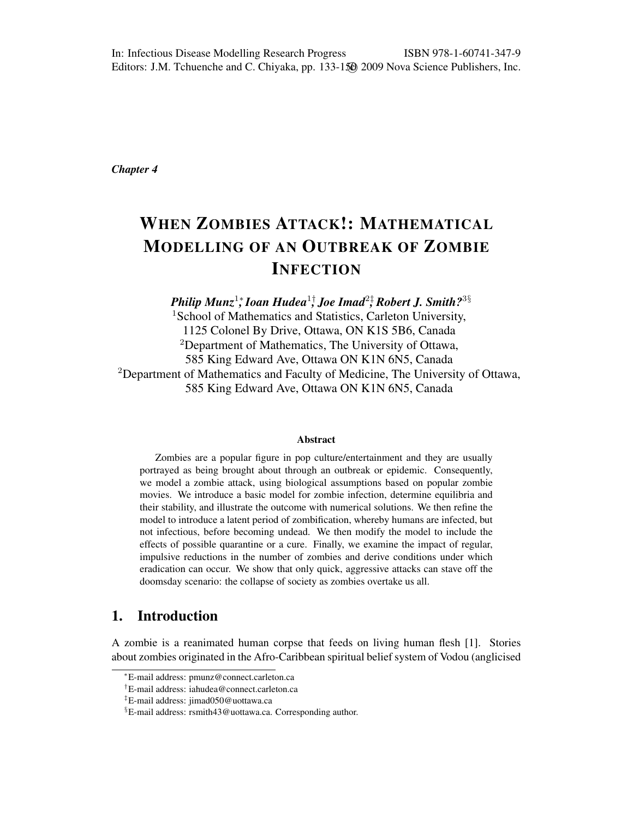*Chapter 4*

# WHEN ZOMBIES ATTACK!: MATHEMATICAL MODELLING OF AN OUTBREAK OF ZOMBIE **INFECTION**

*Philip Munz*<sup>1</sup><sup>∗</sup> *, Ioan Hudea*<sup>1</sup>† *, Joe Imad*<sup>2</sup>‡ *, Robert J. Smith?*<sup>3</sup>§ <sup>1</sup>School of Mathematics and Statistics, Carleton University, 1125 Colonel By Drive, Ottawa, ON K1S 5B6, Canada <sup>2</sup>Department of Mathematics, The University of Ottawa, 585 King Edward Ave, Ottawa ON K1N 6N5, Canada <sup>2</sup>Department of Mathematics and Faculty of Medicine, The University of Ottawa, 585 King Edward Ave, Ottawa ON K1N 6N5, Canada

#### Abstract

Zombies are a popular figure in pop culture/entertainment and they are usually portrayed as being brought about through an outbreak or epidemic. Consequently, we model a zombie attack, using biological assumptions based on popular zombie movies. We introduce a basic model for zombie infection, determine equilibria and their stability, and illustrate the outcome with numerical solutions. We then refine the model to introduce a latent period of zombification, whereby humans are infected, but not infectious, before becoming undead. We then modify the model to include the effects of possible quarantine or a cure. Finally, we examine the impact of regular, impulsive reductions in the number of zombies and derive conditions under which eradication can occur. We show that only quick, aggressive attacks can stave off the doomsday scenario: the collapse of society as zombies overtake us all.

### 1. Introduction

A zombie is a reanimated human corpse that feeds on living human flesh [1]. Stories about zombies originated in the Afro-Caribbean spiritual belief system of Vodou (anglicised

<sup>∗</sup>E-mail address: pmunz@connect.carleton.ca

<sup>†</sup>E-mail address: iahudea@connect.carleton.ca

<sup>‡</sup>E-mail address: jimad050@uottawa.ca

<sup>§</sup>E-mail address: rsmith43@uottawa.ca. Corresponding author.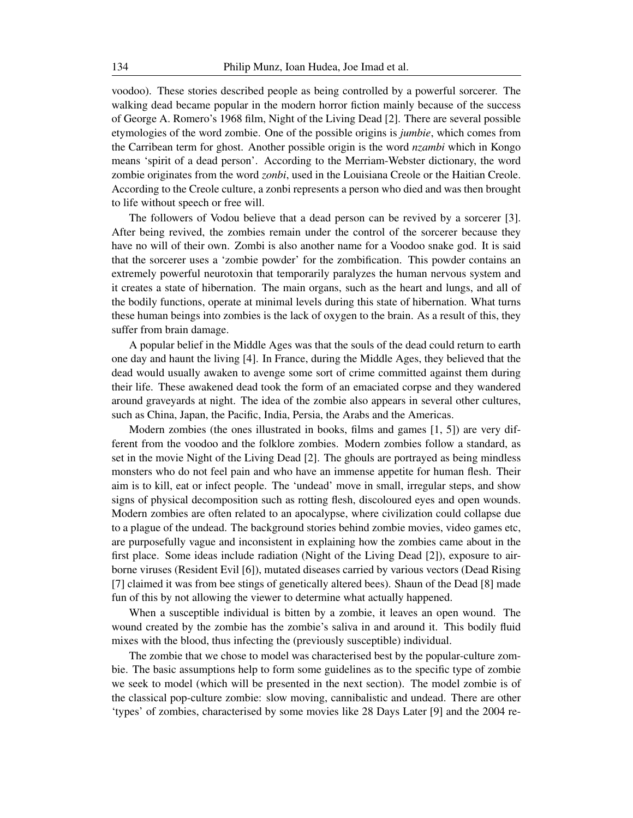voodoo). These stories described people as being controlled by a powerful sorcerer. The walking dead became popular in the modern horror fiction mainly because of the success of George A. Romero's 1968 film, Night of the Living Dead [2]. There are several possible etymologies of the word zombie. One of the possible origins is *jumbie*, which comes from the Carribean term for ghost. Another possible origin is the word *nzambi* which in Kongo means 'spirit of a dead person'. According to the Merriam-Webster dictionary, the word zombie originates from the word *zonbi*, used in the Louisiana Creole or the Haitian Creole. According to the Creole culture, a zonbi represents a person who died and was then brought to life without speech or free will.

The followers of Vodou believe that a dead person can be revived by a sorcerer [3]. After being revived, the zombies remain under the control of the sorcerer because they have no will of their own. Zombi is also another name for a Voodoo snake god. It is said that the sorcerer uses a 'zombie powder' for the zombification. This powder contains an extremely powerful neurotoxin that temporarily paralyzes the human nervous system and it creates a state of hibernation. The main organs, such as the heart and lungs, and all of the bodily functions, operate at minimal levels during this state of hibernation. What turns these human beings into zombies is the lack of oxygen to the brain. As a result of this, they suffer from brain damage.

A popular belief in the Middle Ages was that the souls of the dead could return to earth one day and haunt the living [4]. In France, during the Middle Ages, they believed that the dead would usually awaken to avenge some sort of crime committed against them during their life. These awakened dead took the form of an emaciated corpse and they wandered around graveyards at night. The idea of the zombie also appears in several other cultures, such as China, Japan, the Pacific, India, Persia, the Arabs and the Americas.

Modern zombies (the ones illustrated in books, films and games [1, 5]) are very different from the voodoo and the folklore zombies. Modern zombies follow a standard, as set in the movie Night of the Living Dead [2]. The ghouls are portrayed as being mindless monsters who do not feel pain and who have an immense appetite for human flesh. Their aim is to kill, eat or infect people. The 'undead' move in small, irregular steps, and show signs of physical decomposition such as rotting flesh, discoloured eyes and open wounds. Modern zombies are often related to an apocalypse, where civilization could collapse due to a plague of the undead. The background stories behind zombie movies, video games etc, are purposefully vague and inconsistent in explaining how the zombies came about in the first place. Some ideas include radiation (Night of the Living Dead [2]), exposure to airborne viruses (Resident Evil [6]), mutated diseases carried by various vectors (Dead Rising [7] claimed it was from bee stings of genetically altered bees). Shaun of the Dead [8] made fun of this by not allowing the viewer to determine what actually happened.

When a susceptible individual is bitten by a zombie, it leaves an open wound. The wound created by the zombie has the zombie's saliva in and around it. This bodily fluid mixes with the blood, thus infecting the (previously susceptible) individual.

The zombie that we chose to model was characterised best by the popular-culture zombie. The basic assumptions help to form some guidelines as to the specific type of zombie we seek to model (which will be presented in the next section). The model zombie is of the classical pop-culture zombie: slow moving, cannibalistic and undead. There are other 'types' of zombies, characterised by some movies like 28 Days Later [9] and the 2004 re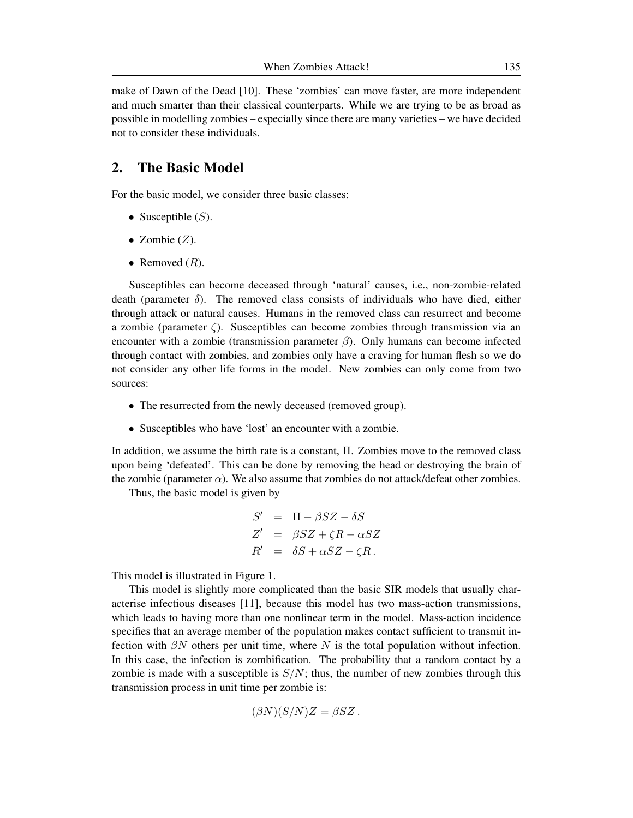make of Dawn of the Dead [10]. These 'zombies' can move faster, are more independent and much smarter than their classical counterparts. While we are trying to be as broad as possible in modelling zombies – especially since there are many varieties – we have decided not to consider these individuals.

#### 2. The Basic Model

For the basic model, we consider three basic classes:

- Susceptible  $(S)$ .
- Zombie  $(Z)$ .
- Removed  $(R)$ .

Susceptibles can become deceased through 'natural' causes, i.e., non-zombie-related death (parameter  $\delta$ ). The removed class consists of individuals who have died, either through attack or natural causes. Humans in the removed class can resurrect and become a zombie (parameter ζ). Susceptibles can become zombies through transmission via an encounter with a zombie (transmission parameter  $\beta$ ). Only humans can become infected through contact with zombies, and zombies only have a craving for human flesh so we do not consider any other life forms in the model. New zombies can only come from two sources:

- The resurrected from the newly deceased (removed group).
- Susceptibles who have 'lost' an encounter with a zombie.

In addition, we assume the birth rate is a constant, Π. Zombies move to the removed class upon being 'defeated'. This can be done by removing the head or destroying the brain of the zombie (parameter  $\alpha$ ). We also assume that zombies do not attack/defeat other zombies.

Thus, the basic model is given by

$$
S' = \Pi - \beta SZ - \delta S
$$
  
\n
$$
Z' = \beta SZ + \zeta R - \alpha SZ
$$
  
\n
$$
R' = \delta S + \alpha SZ - \zeta R.
$$

This model is illustrated in Figure 1.

This model is slightly more complicated than the basic SIR models that usually characterise infectious diseases [11], because this model has two mass-action transmissions, which leads to having more than one nonlinear term in the model. Mass-action incidence specifies that an average member of the population makes contact sufficient to transmit infection with  $\beta N$  others per unit time, where N is the total population without infection. In this case, the infection is zombification. The probability that a random contact by a zombie is made with a susceptible is  $S/N$ ; thus, the number of new zombies through this transmission process in unit time per zombie is: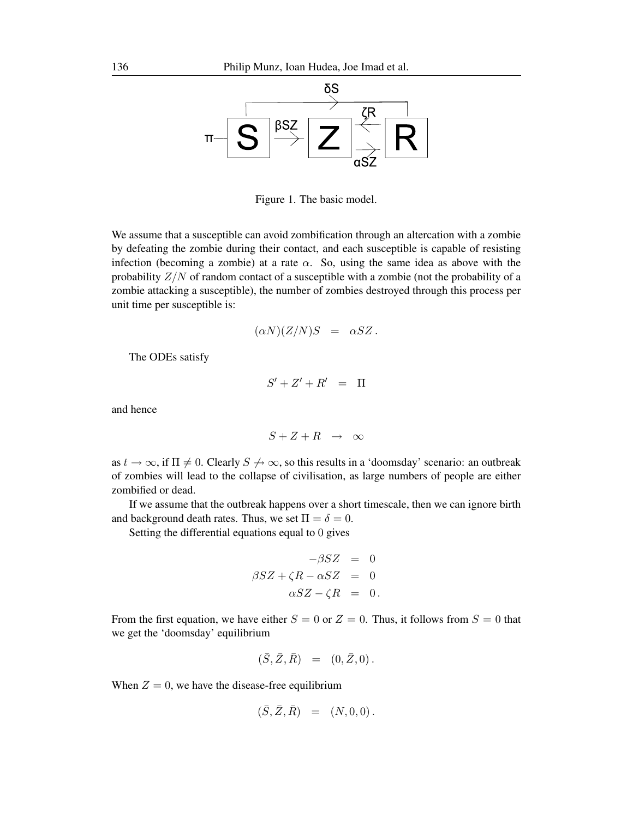

Figure 1. The basic model.

We assume that a susceptible can avoid zombification through an altercation with a zombie by defeating the zombie during their contact, and each susceptible is capable of resisting infection (becoming a zombie) at a rate  $\alpha$ . So, using the same idea as above with the probability  $Z/N$  of random contact of a susceptible with a zombie (not the probability of a zombie attacking a susceptible), the number of zombies destroyed through this process per unit time per susceptible is:

$$
(\alpha N)(Z/N)S = \alpha SZ.
$$

The ODEs satisfy

$$
S' + Z' + R' = \Pi
$$

and hence

$$
S+Z+R \quad \rightarrow \quad \infty
$$

as  $t \to \infty$ , if  $\Pi \neq 0$ . Clearly  $S \not\to \infty$ , so this results in a 'doomsday' scenario: an outbreak of zombies will lead to the collapse of civilisation, as large numbers of people are either zombified or dead.

If we assume that the outbreak happens over a short timescale, then we can ignore birth and background death rates. Thus, we set  $\Pi = \delta = 0$ .

Setting the differential equations equal to 0 gives

$$
-\beta SZ = 0
$$
  

$$
\beta SZ + \zeta R - \alpha SZ = 0
$$
  

$$
\alpha SZ - \zeta R = 0.
$$

From the first equation, we have either  $S = 0$  or  $Z = 0$ . Thus, it follows from  $S = 0$  that we get the 'doomsday' equilibrium

$$
(\bar{S}, \bar{Z}, \bar{R}) = (0, \bar{Z}, 0).
$$

When  $Z = 0$ , we have the disease-free equilibrium

$$
(\bar S,\bar Z,\bar R)\quad =\quad (N,0,0)\,.
$$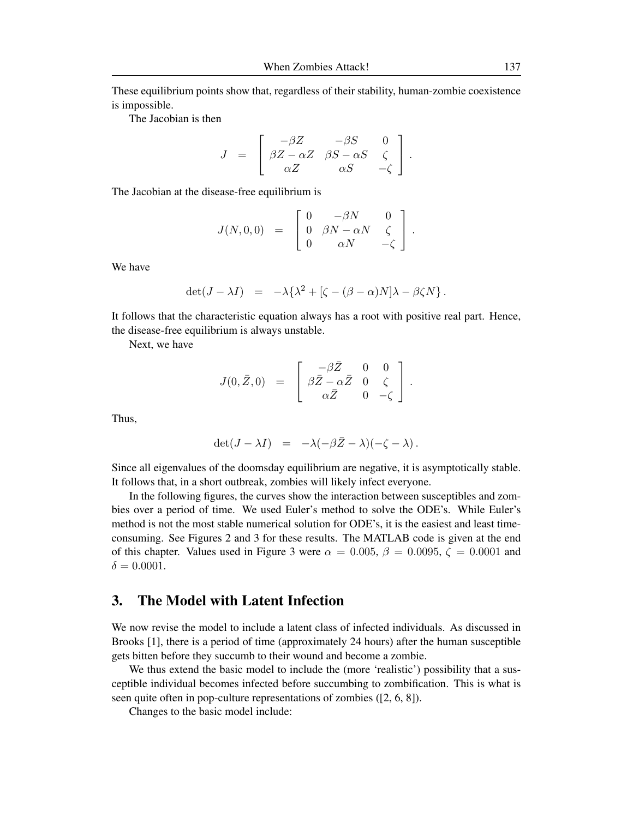These equilibrium points show that, regardless of their stability, human-zombie coexistence is impossible.

The Jacobian is then

$$
J = \begin{bmatrix} -\beta Z & -\beta S & 0 \\ \beta Z - \alpha Z & \beta S - \alpha S & \zeta \\ \alpha Z & \alpha S & -\zeta \end{bmatrix}.
$$

The Jacobian at the disease-free equilibrium is

$$
J(N,0,0) = \begin{bmatrix} 0 & -\beta N & 0 \\ 0 & \beta N - \alpha N & \zeta \\ 0 & \alpha N & -\zeta \end{bmatrix}.
$$

We have

$$
\det(J - \lambda I) = -\lambda \{\lambda^2 + [\zeta - (\beta - \alpha)N]\lambda - \beta \zeta N\}.
$$

It follows that the characteristic equation always has a root with positive real part. Hence, the disease-free equilibrium is always unstable.

Next, we have

$$
J(0,\bar{Z},0) \;\;=\;\; \left[ \begin{array}{ccc} -\beta \bar{Z} & 0 & 0 \\ \beta \bar{Z} - \alpha \bar{Z} & 0 & \zeta \\ \alpha \bar{Z} & 0 & -\zeta \end{array} \right] \; .
$$

Thus,

$$
\det(J - \lambda I) = -\lambda(-\beta \bar{Z} - \lambda)(-\zeta - \lambda).
$$

Since all eigenvalues of the doomsday equilibrium are negative, it is asymptotically stable. It follows that, in a short outbreak, zombies will likely infect everyone.

In the following figures, the curves show the interaction between susceptibles and zombies over a period of time. We used Euler's method to solve the ODE's. While Euler's method is not the most stable numerical solution for ODE's, it is the easiest and least timeconsuming. See Figures 2 and 3 for these results. The MATLAB code is given at the end of this chapter. Values used in Figure 3 were  $\alpha = 0.005$ ,  $\beta = 0.0095$ ,  $\zeta = 0.0001$  and  $\delta = 0.0001$ .

#### 3. The Model with Latent Infection

We now revise the model to include a latent class of infected individuals. As discussed in Brooks [1], there is a period of time (approximately 24 hours) after the human susceptible gets bitten before they succumb to their wound and become a zombie.

We thus extend the basic model to include the (more 'realistic') possibility that a susceptible individual becomes infected before succumbing to zombification. This is what is seen quite often in pop-culture representations of zombies ([2, 6, 8]).

Changes to the basic model include: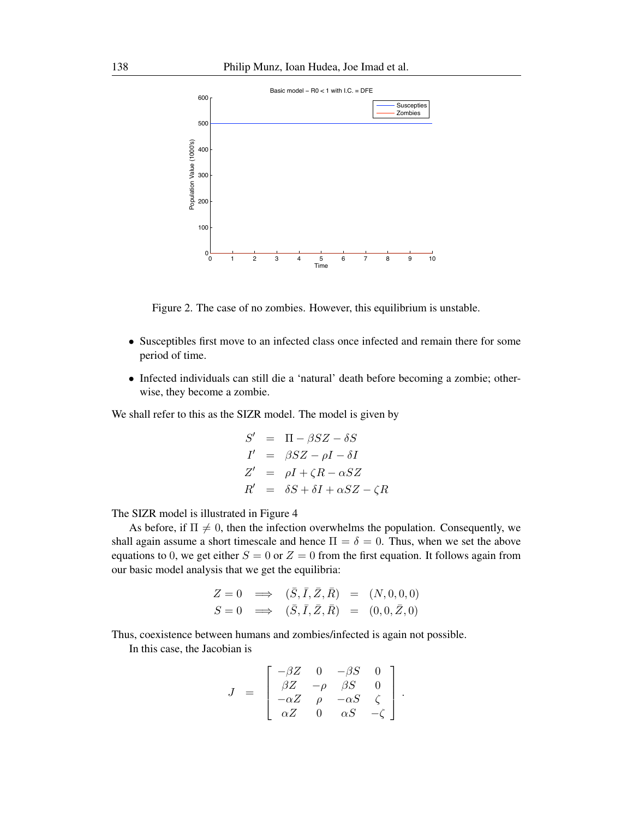

Figure 2. The case of no zombies. However, this equilibrium is unstable.

- Susceptibles first move to an infected class once infected and remain there for some period of time.
- Infected individuals can still die a 'natural' death before becoming a zombie; otherwise, they become a zombie.

We shall refer to this as the SIZR model. The model is given by

$$
S' = \Pi - \beta SZ - \delta S
$$
  
\n
$$
I' = \beta SZ - \rho I - \delta I
$$
  
\n
$$
Z' = \rho I + \zeta R - \alpha SZ
$$
  
\n
$$
R' = \delta S + \delta I + \alpha SZ - \zeta R
$$

The SIZR model is illustrated in Figure 4

As before, if  $\Pi \neq 0$ , then the infection overwhelms the population. Consequently, we shall again assume a short timescale and hence  $\Pi = \delta = 0$ . Thus, when we set the above equations to 0, we get either  $S = 0$  or  $Z = 0$  from the first equation. It follows again from our basic model analysis that we get the equilibria:

$$
Z = 0 \implies (\bar{S}, \bar{I}, \bar{Z}, \bar{R}) = (N, 0, 0, 0)
$$
  

$$
S = 0 \implies (\bar{S}, \bar{I}, \bar{Z}, \bar{R}) = (0, 0, \bar{Z}, 0)
$$

Thus, coexistence between humans and zombies/infected is again not possible.

In this case, the Jacobian is

$$
J \hspace{2mm} = \hspace{5mm} \left[ \begin{array}{cccc} -\beta Z & 0 & -\beta S & 0 \\ \beta Z & -\rho & \beta S & 0 \\ -\alpha Z & \rho & -\alpha S & \zeta \\ \alpha Z & 0 & \alpha S & -\zeta \end{array} \right] \, .
$$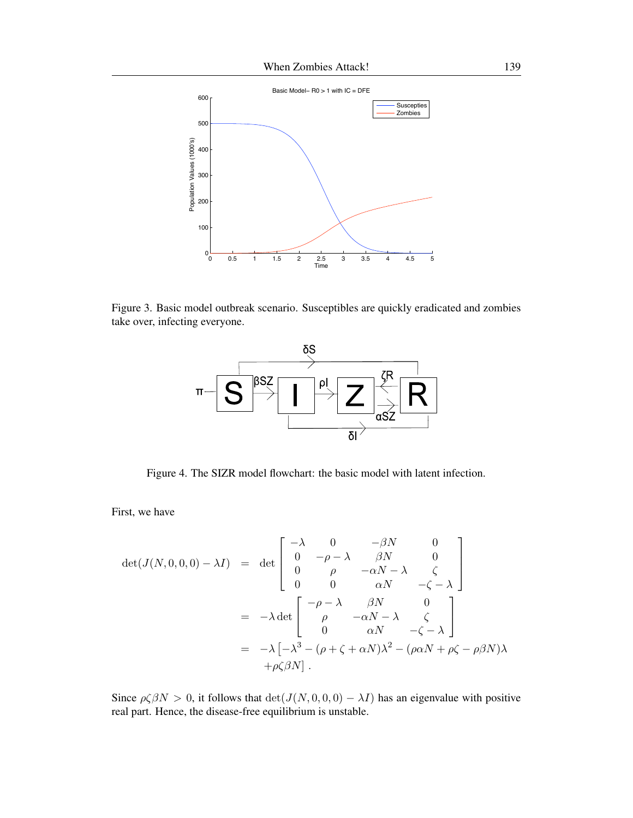

Figure 3. Basic model outbreak scenario. Susceptibles are quickly eradicated and zombies take over, infecting everyone.



Figure 4. The SIZR model flowchart: the basic model with latent infection.

First, we have

$$
det(J(N,0,0,0) - \lambda I) = det \begin{bmatrix} -\lambda & 0 & -\beta N & 0 \\ 0 & -\rho - \lambda & \beta N & 0 \\ 0 & \rho & -\alpha N - \lambda & \zeta \\ 0 & 0 & \alpha N & -\zeta - \lambda \end{bmatrix}
$$
  
= -\lambda det  $\begin{bmatrix} -\rho - \lambda & \beta N & 0 \\ \rho & -\alpha N - \lambda & \zeta \\ 0 & \alpha N & -\zeta - \lambda \end{bmatrix}$   
= -\lambda  $[-\lambda^3 - (\rho + \zeta + \alpha N)\lambda^2 - (\rho \alpha N + \rho \zeta - \rho \beta N)\lambda$   
+ \rho \zeta \beta N].

Since  $\rho \zeta \beta N > 0$ , it follows that  $\det(J(N, 0, 0, 0) - \lambda I)$  has an eigenvalue with positive real part. Hence, the disease-free equilibrium is unstable.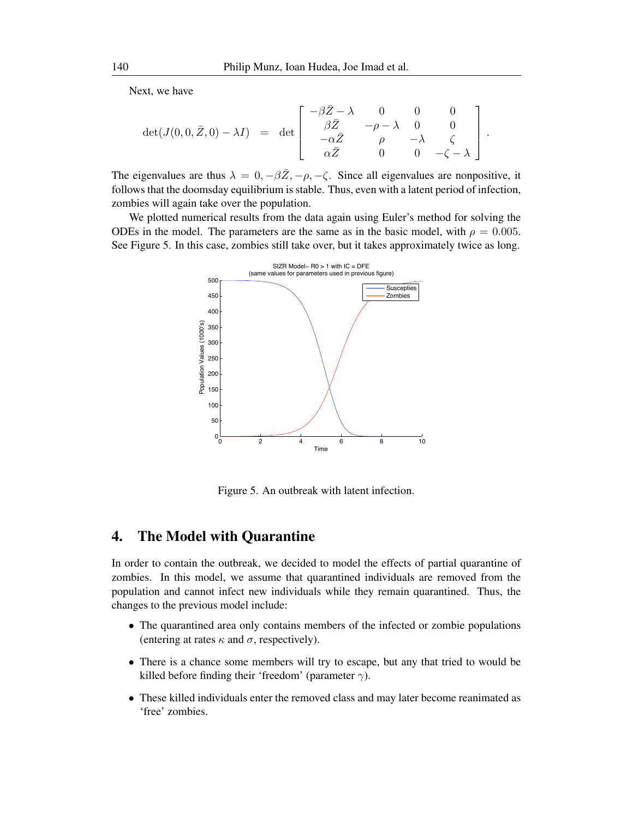Next, we have

$$
\det(J(0,0,\bar{Z},0)-\lambda I) = \det \begin{bmatrix} -\beta \bar{Z}-\lambda & 0 & 0 & 0 \\ \beta \bar{Z} & -\rho-\lambda & 0 & 0 \\ -\alpha \bar{Z} & \rho & -\lambda & \zeta \\ \alpha \bar{Z} & 0 & 0 & -\zeta-\lambda \end{bmatrix}.
$$

The eigenvalues are thus  $\lambda = 0, -\beta \bar{Z}, -\rho, -\zeta$ . Since all eigenvalues are nonpositive, it follows that the doomsday equilibrium is stable. Thus, even with a latent period of infection, zombies will again take over the population.

We plotted numerical results from the data again using Euler's method for solving the ODEs in the model. The parameters are the same as in the basic model, with  $\rho = 0.005$ . See Figure 5. In this case, zombies still take over, but it takes approximately twice as long.



Figure 5. An outbreak with latent infection.

# 4. The Model with Quarantine

In order to contain the outbreak, we decided to model the effects of partial quarantine of zombies. In this model, we assume that quarantined individuals are removed from the population and cannot infect new individuals while they remain quarantined. Thus, the changes to the previous model include:

- The quarantined area only contains members of the infected or zombie populations (entering at rates  $\kappa$  and  $\sigma$ , respectively).
- There is a chance some members will try to escape, but any that tried to would be killed before finding their 'freedom' (parameter  $\gamma$ ).
- These killed individuals enter the removed class and may later become reanimated as 'free' zombies.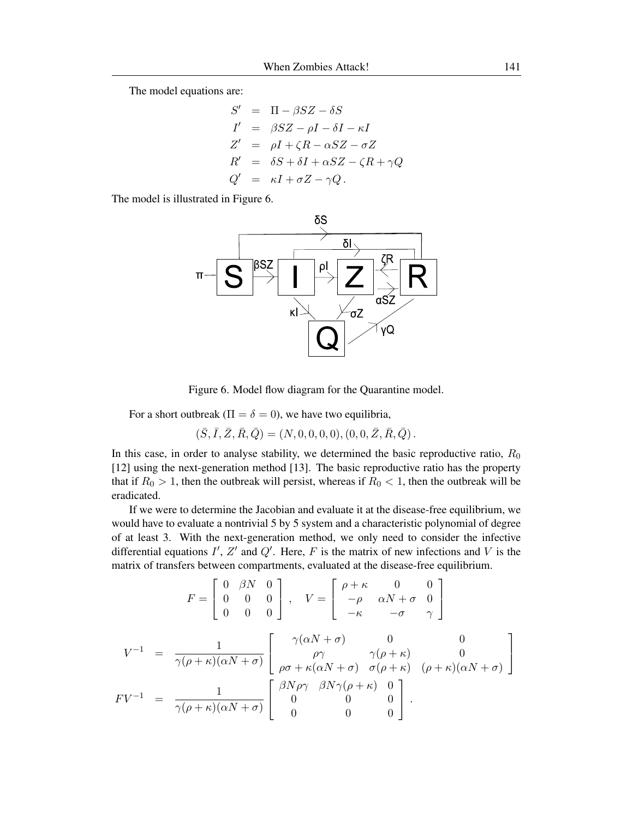The model equations are:

$$
S' = \Pi - \beta SZ - \delta S
$$
  
\n
$$
I' = \beta SZ - \rho I - \delta I - \kappa I
$$
  
\n
$$
Z' = \rho I + \zeta R - \alpha SZ - \sigma Z
$$
  
\n
$$
R' = \delta S + \delta I + \alpha SZ - \zeta R + \gamma Q
$$
  
\n
$$
Q' = \kappa I + \sigma Z - \gamma Q.
$$

The model is illustrated in Figure 6.



Figure 6. Model flow diagram for the Quarantine model.

For a short outbreak ( $\Pi = \delta = 0$ ), we have two equilibria,

 $(\bar{S}, \bar{I}, \bar{Z}, \bar{R}, \bar{Q}) = (N, 0, 0, 0, 0), (0, 0, \bar{Z}, \bar{R}, \bar{Q}).$ 

In this case, in order to analyse stability, we determined the basic reproductive ratio,  $R_0$ [12] using the next-generation method [13]. The basic reproductive ratio has the property that if  $R_0 > 1$ , then the outbreak will persist, whereas if  $R_0 < 1$ , then the outbreak will be eradicated.

If we were to determine the Jacobian and evaluate it at the disease-free equilibrium, we would have to evaluate a nontrivial 5 by 5 system and a characteristic polynomial of degree of at least 3. With the next-generation method, we only need to consider the infective differential equations  $I'$ ,  $Z'$  and  $Q'$ . Here, F is the matrix of new infections and V is the matrix of transfers between compartments, evaluated at the disease-free equilibrium.

$$
F = \begin{bmatrix} 0 & \beta N & 0 \\ 0 & 0 & 0 \\ 0 & 0 & 0 \end{bmatrix}, \quad V = \begin{bmatrix} \rho + \kappa & 0 & 0 \\ -\rho & \alpha N + \sigma & 0 \\ -\kappa & -\sigma & \gamma \end{bmatrix}
$$

$$
V^{-1} = \frac{1}{\gamma(\rho + \kappa)(\alpha N + \sigma)} \begin{bmatrix} \gamma(\alpha N + \sigma) & 0 & 0 \\ \rho \gamma & \gamma(\rho + \kappa) & 0 \\ \rho \sigma + \kappa(\alpha N + \sigma) & \sigma(\rho + \kappa) & (\rho + \kappa)(\alpha N + \sigma) \end{bmatrix}
$$

$$
F V^{-1} = \frac{1}{\gamma(\rho + \kappa)(\alpha N + \sigma)} \begin{bmatrix} \beta N \rho \gamma & \beta N \gamma(\rho + \kappa) & 0 \\ 0 & 0 & 0 \\ 0 & 0 & 0 \end{bmatrix}.
$$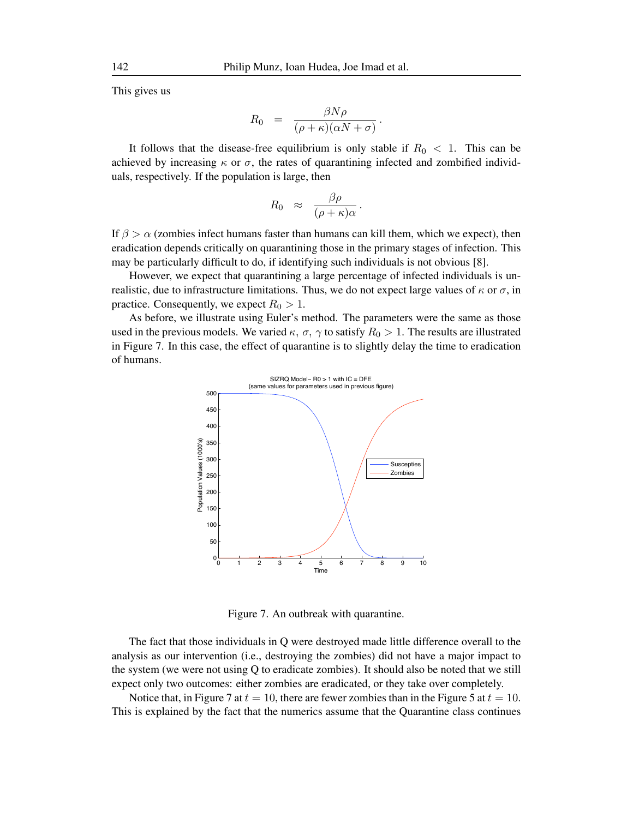This gives us

$$
R_0 = \frac{\beta N \rho}{(\rho + \kappa)(\alpha N + \sigma)}
$$

.

.

It follows that the disease-free equilibrium is only stable if  $R_0 < 1$ . This can be achieved by increasing  $\kappa$  or  $\sigma$ , the rates of quarantining infected and zombified individuals, respectively. If the population is large, then

$$
R_0 \approx \frac{\beta \rho}{(\rho + \kappa)\alpha}
$$

If  $\beta > \alpha$  (zombies infect humans faster than humans can kill them, which we expect), then eradication depends critically on quarantining those in the primary stages of infection. This may be particularly difficult to do, if identifying such individuals is not obvious [8].

However, we expect that quarantining a large percentage of infected individuals is unrealistic, due to infrastructure limitations. Thus, we do not expect large values of  $\kappa$  or  $\sigma$ , in practice. Consequently, we expect  $R_0 > 1$ .

As before, we illustrate using Euler's method. The parameters were the same as those used in the previous models. We varied  $\kappa$ ,  $\sigma$ ,  $\gamma$  to satisfy  $R_0 > 1$ . The results are illustrated in Figure 7. In this case, the effect of quarantine is to slightly delay the time to eradication of humans.



Figure 7. An outbreak with quarantine.

The fact that those individuals in Q were destroyed made little difference overall to the analysis as our intervention (i.e., destroying the zombies) did not have a major impact to the system (we were not using Q to eradicate zombies). It should also be noted that we still expect only two outcomes: either zombies are eradicated, or they take over completely.

Notice that, in Figure 7 at  $t = 10$ , there are fewer zombies than in the Figure 5 at  $t = 10$ . This is explained by the fact that the numerics assume that the Quarantine class continues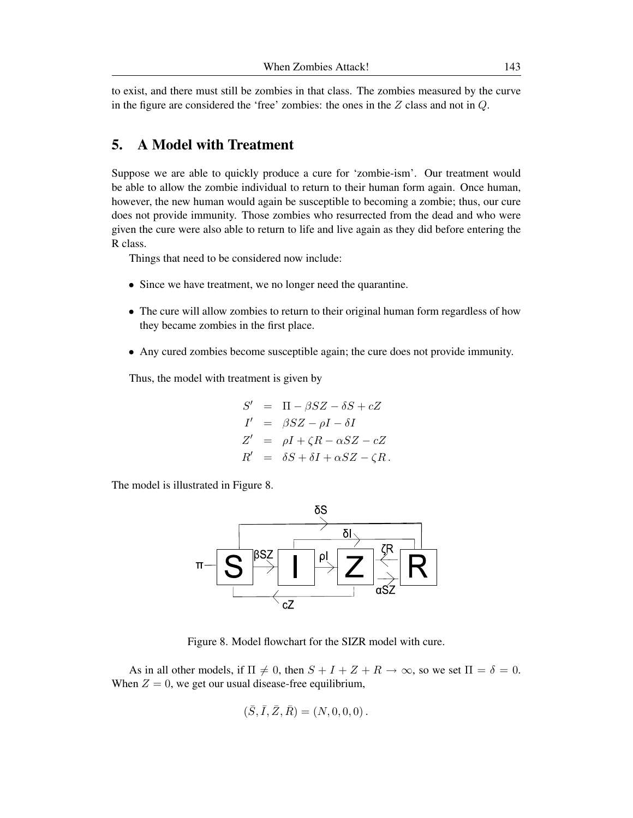to exist, and there must still be zombies in that class. The zombies measured by the curve in the figure are considered the 'free' zombies: the ones in the  $Z$  class and not in  $Q$ .

## 5. A Model with Treatment

Suppose we are able to quickly produce a cure for 'zombie-ism'. Our treatment would be able to allow the zombie individual to return to their human form again. Once human, however, the new human would again be susceptible to becoming a zombie; thus, our cure does not provide immunity. Those zombies who resurrected from the dead and who were given the cure were also able to return to life and live again as they did before entering the R class.

Things that need to be considered now include:

- Since we have treatment, we no longer need the quarantine.
- The cure will allow zombies to return to their original human form regardless of how they became zombies in the first place.
- Any cured zombies become susceptible again; the cure does not provide immunity.

Thus, the model with treatment is given by

$$
S' = \Pi - \beta SZ - \delta S + cZ
$$
  
\n
$$
I' = \beta SZ - \rho I - \delta I
$$
  
\n
$$
Z' = \rho I + \zeta R - \alpha SZ - cZ
$$
  
\n
$$
R' = \delta S + \delta I + \alpha SZ - \zeta R.
$$

The model is illustrated in Figure 8.



Figure 8. Model flowchart for the SIZR model with cure.

As in all other models, if  $\Pi \neq 0$ , then  $S + I + Z + R \rightarrow \infty$ , so we set  $\Pi = \delta = 0$ . When  $Z = 0$ , we get our usual disease-free equilibrium,

$$
(\bar S,\bar I,\bar Z,\bar R)=(N,0,0,0)\,.
$$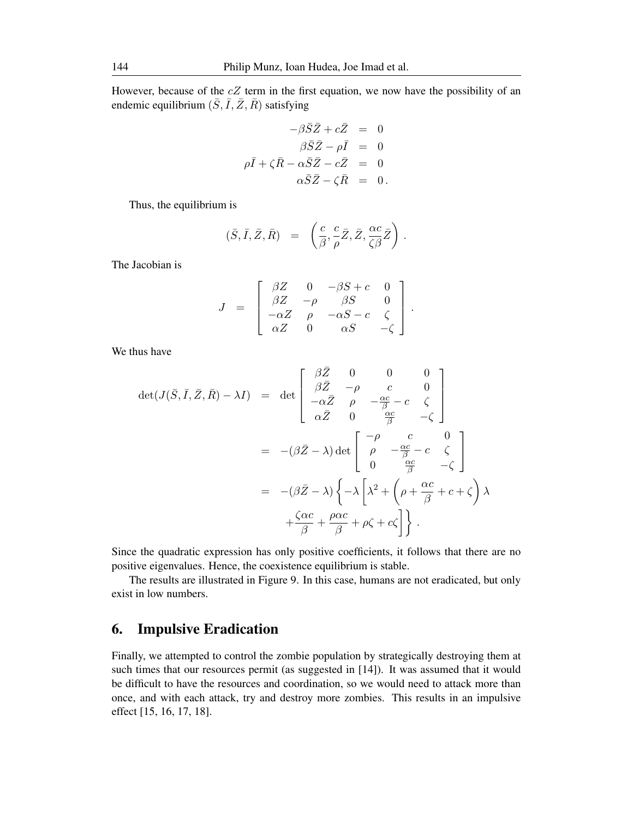However, because of the  $cZ$  term in the first equation, we now have the possibility of an endemic equilibrium  $(\bar{S}, \bar{I}, \bar{Z}, \bar{R})$  satisfying

$$
-\beta \bar{S}\bar{Z} + c\bar{Z} = 0
$$
  

$$
\beta \bar{S}\bar{Z} - \rho \bar{I} = 0
$$
  

$$
\rho \bar{I} + \zeta \bar{R} - \alpha \bar{S}\bar{Z} - c\bar{Z} = 0
$$
  

$$
\alpha \bar{S}\bar{Z} - \zeta \bar{R} = 0.
$$

Thus, the equilibrium is

$$
(\bar{S}, \bar{I}, \bar{Z}, \bar{R}) = \left( \frac{c}{\beta}, \frac{c}{\rho} \bar{Z}, \bar{Z}, \frac{\alpha c}{\zeta \beta} \bar{Z} \right).
$$

The Jacobian is

$$
J = \begin{bmatrix} \beta Z & 0 & -\beta S + c & 0 \\ \beta Z & -\rho & \beta S & 0 \\ -\alpha Z & \rho & -\alpha S - c & \zeta \\ \alpha Z & 0 & \alpha S & -\zeta \end{bmatrix}.
$$

We thus have

$$
\det(J(\bar{S}, \bar{I}, \bar{Z}, \bar{R}) - \lambda I) = \det \begin{bmatrix} \beta \bar{Z} & 0 & 0 & 0 \\ \beta \bar{Z} & -\rho & c & 0 \\ -\alpha \bar{Z} & \rho & -\frac{\alpha c}{\beta} - c & \zeta \\ \alpha \bar{Z} & 0 & \frac{\alpha c}{\beta} & -\zeta \end{bmatrix}
$$

$$
= -(\beta \bar{Z} - \lambda) \det \begin{bmatrix} -\rho & c & 0 \\ \rho & -\frac{\alpha c}{\beta} - c & \zeta \\ 0 & \frac{\alpha c}{\beta} & -\zeta \end{bmatrix}
$$

$$
= -(\beta \bar{Z} - \lambda) \left\{ -\lambda \left[ \lambda^2 + \left( \rho + \frac{\alpha c}{\beta} + c + \zeta \right) \lambda \right. \\ + \frac{\zeta \alpha c}{\beta} + \frac{\rho \alpha c}{\beta} + \rho \zeta + c \zeta \right] \right\}.
$$

Since the quadratic expression has only positive coefficients, it follows that there are no positive eigenvalues. Hence, the coexistence equilibrium is stable.

The results are illustrated in Figure 9. In this case, humans are not eradicated, but only exist in low numbers.

# 6. Impulsive Eradication

Finally, we attempted to control the zombie population by strategically destroying them at such times that our resources permit (as suggested in [14]). It was assumed that it would be difficult to have the resources and coordination, so we would need to attack more than once, and with each attack, try and destroy more zombies. This results in an impulsive effect [15, 16, 17, 18].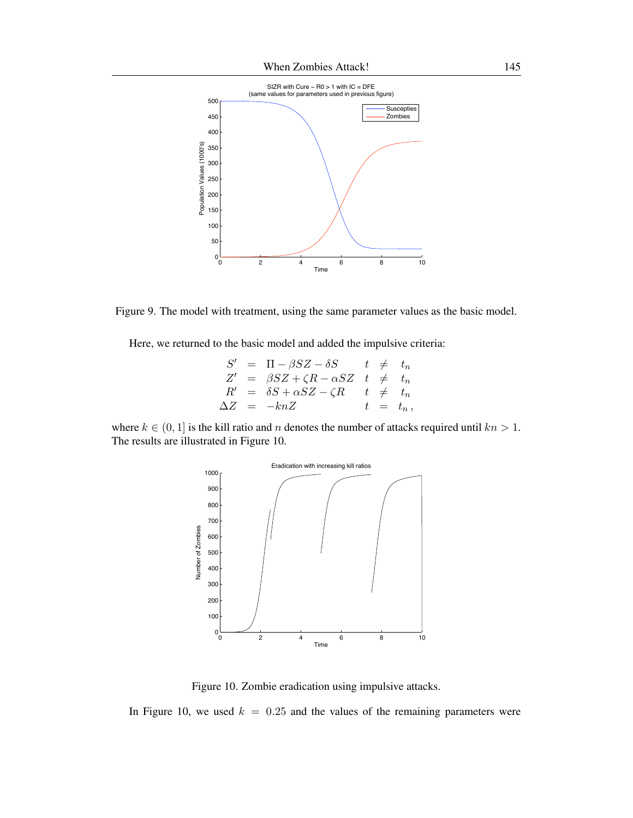

Figure 9. The model with treatment, using the same parameter values as the basic model.

Here, we returned to the basic model and added the impulsive criteria:

|  | $S' = \Pi - \beta SZ - \delta S$ $t \neq t_n$          |  |            |
|--|--------------------------------------------------------|--|------------|
|  | $Z' = \beta SZ + \zeta R - \alpha SZ \quad t \neq t_n$ |  |            |
|  | $R' = \delta S + \alpha S Z - \zeta R$ $t \neq t_n$    |  |            |
|  | $\Delta Z = -k n Z$                                    |  | $t = t_n,$ |

where  $k \in (0, 1]$  is the kill ratio and n denotes the number of attacks required until  $kn > 1$ . The results are illustrated in Figure 10.



Figure 10. Zombie eradication using impulsive attacks.

In Figure 10, we used  $k = 0.25$  and the values of the remaining parameters were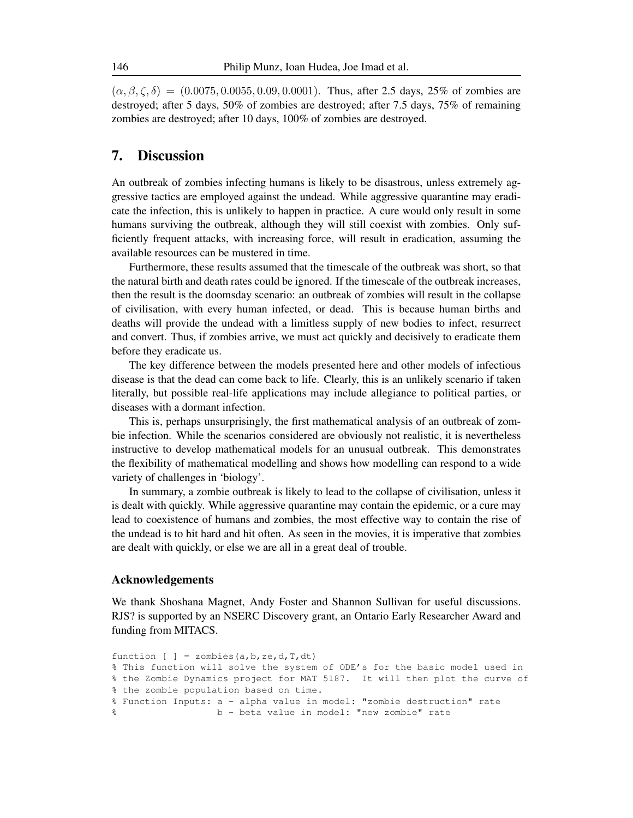$(\alpha, \beta, \zeta, \delta) = (0.0075, 0.0055, 0.09, 0.0001)$ . Thus, after 2.5 days, 25% of zombies are destroyed; after 5 days, 50% of zombies are destroyed; after 7.5 days, 75% of remaining zombies are destroyed; after 10 days, 100% of zombies are destroyed.

#### 7. Discussion

An outbreak of zombies infecting humans is likely to be disastrous, unless extremely aggressive tactics are employed against the undead. While aggressive quarantine may eradicate the infection, this is unlikely to happen in practice. A cure would only result in some humans surviving the outbreak, although they will still coexist with zombies. Only sufficiently frequent attacks, with increasing force, will result in eradication, assuming the available resources can be mustered in time.

Furthermore, these results assumed that the timescale of the outbreak was short, so that the natural birth and death rates could be ignored. If the timescale of the outbreak increases, then the result is the doomsday scenario: an outbreak of zombies will result in the collapse of civilisation, with every human infected, or dead. This is because human births and deaths will provide the undead with a limitless supply of new bodies to infect, resurrect and convert. Thus, if zombies arrive, we must act quickly and decisively to eradicate them before they eradicate us.

The key difference between the models presented here and other models of infectious disease is that the dead can come back to life. Clearly, this is an unlikely scenario if taken literally, but possible real-life applications may include allegiance to political parties, or diseases with a dormant infection.

This is, perhaps unsurprisingly, the first mathematical analysis of an outbreak of zombie infection. While the scenarios considered are obviously not realistic, it is nevertheless instructive to develop mathematical models for an unusual outbreak. This demonstrates the flexibility of mathematical modelling and shows how modelling can respond to a wide variety of challenges in 'biology'.

In summary, a zombie outbreak is likely to lead to the collapse of civilisation, unless it is dealt with quickly. While aggressive quarantine may contain the epidemic, or a cure may lead to coexistence of humans and zombies, the most effective way to contain the rise of the undead is to hit hard and hit often. As seen in the movies, it is imperative that zombies are dealt with quickly, or else we are all in a great deal of trouble.

#### Acknowledgements

We thank Shoshana Magnet, Andy Foster and Shannon Sullivan for useful discussions. RJS? is supported by an NSERC Discovery grant, an Ontario Early Researcher Award and funding from MITACS.

```
function [ ] = zombies(a, b, ze, d, T, dt)
% This function will solve the system of ODE's for the basic model used in
% the Zombie Dynamics project for MAT 5187. It will then plot the curve of
% the zombie population based on time.
% Function Inputs: a - alpha value in model: "zombie destruction" rate
% b - beta value in model: "new zombie" rate
```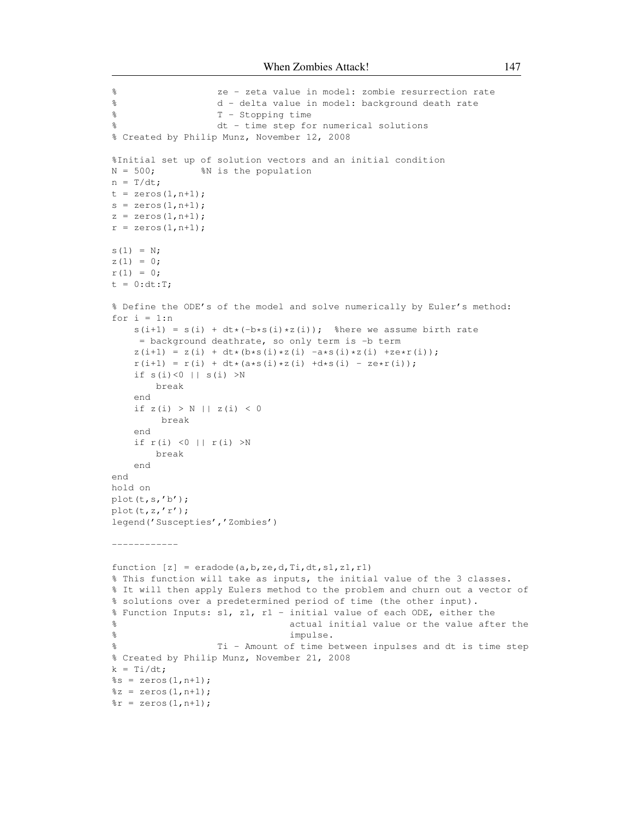```
% ze - zeta value in model: zombie resurrection rate
% d - delta value in model: background death rate
% T - Stopping time
% dt - time step for numerical solutions
% Created by Philip Munz, November 12, 2008
%Initial set up of solution vectors and an initial condition
N = 500; %N is the population
n = T/dt;t = zeros(1, n+1);s = zeros(1, n+1);z = zeros(1, n+1);r = zeros(1, n+1);s(1) = N;z(1) = 0;r(1) = 0;t = 0:dt:T;% Define the ODE's of the model and solve numerically by Euler's method:
for i = 1:ns(i+1) = s(i) + dt * (-b * s(i) * z(i)); %here we assume birth rate
    = background deathrate, so only term is -b term
   z(i+1) = z(i) + dt * (b * s(i) * z(i) - a * s(i) * z(i) + z e * r(i));r(i+1) = r(i) + dt * (a * s(i) * z(i) + d * s(i) - ze * r(i));if s(i) < 0 | s(i) > Nbreak
   end
   if z(i) > N || z(i) < 0break
   end
   if r(i) <0 || r(i) >N
       break
   end
end
hold on
plot(t,s,'b');
plot(t,z,'r');
legend('Suscepties','Zombies')
------------
function [z] = \text{eradode}(a, b, ze, d, Ti, dt, sl, z1, r1)% This function will take as inputs, the initial value of the 3 classes.
% It will then apply Eulers method to the problem and churn out a vector of
% solutions over a predetermined period of time (the other input).
% Function Inputs: s1, z1, r1 - initial value of each ODE, either the
% actual initial value or the value after the
% impulse.
% Ti - Amount of time between inpulses and dt is time step
% Created by Philip Munz, November 21, 2008
k = Ti/dt;s = zeros(1, n+1);z = zeros(1, n+1);\text{er} = \text{zeros}(1, n+1);
```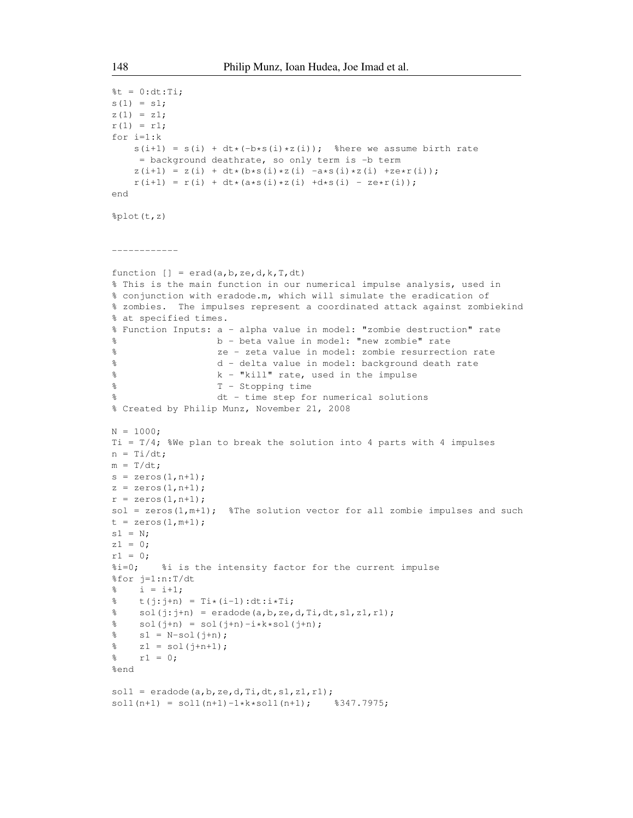```
%t = 0:dt:Ti;s(1) = s1;z(1) = z1;r(1) = r1;for i=1:k
    s(i+1) = s(i) + dt * (-b * s(i) * z(i)); %here we assume birth rate
    = background deathrate, so only term is -b term
    z(i+1) = z(i) + dt * (b * s(i) * z(i) - a * s(i) * z(i) + z e * r(i));r(i+1) = r(i) + dt * (a * s(i) * z(i) + d * s(i) - ze * r(i));end
%plot(t,z)
 ------------
function [] = \text{erad}(a, b, ze, d, k, T, dt)% This is the main function in our numerical impulse analysis, used in
% conjunction with eradode.m, which will simulate the eradication of
% zombies. The impulses represent a coordinated attack against zombiekind
% at specified times.
% Function Inputs: a - alpha value in model: "zombie destruction" rate
% b - beta value in model: "new zombie" rate
% ze - zeta value in model: zombie resurrection rate
% d - delta value in model: background death rate
% k - "kill" rate, used in the impulse
% T - Stopping time
% dt - time step for numerical solutions
% Created by Philip Munz, November 21, 2008
N = 1000;Ti = T/4; %We plan to break the solution into 4 parts with 4 impulses
n = Ti/dt;m = T/dt;s = zeros(1, n+1);z = zeros(1, n+1);r = zeros(1, n+1);sol = zeros(1, m+1); %The solution vector for all zombie impulses and such
t = zeros(1, m+1);s1 = N;z1 = 0;r1 = 0;%i=0; %i is the intensity factor for the current impulse
%for j=1:n:T/dt
\frac{1}{6} i = i+1;
% t(j:j+n) = Ti*(i-1):dt:i*Ti;\% sol(j:j+n) = eradode(a,b,ze,d,Ti,dt,s1,z1,r1);
% sol(j+n) = sol(j+n)-i*k*sol(j+n);
\text{ } \text{s1} = N-sol(j+n);
\text{ }8 \text{ } z1 = \text{sol}(j+n+1);\frac{1}{6} r1 = 0;
%end
sol1 = eradode(a, b, ze, d, Ti, dt, sl, z1, r1);soll(n+1) = sol1(n+1)-1*k*soll(n+1); %347.7975;
```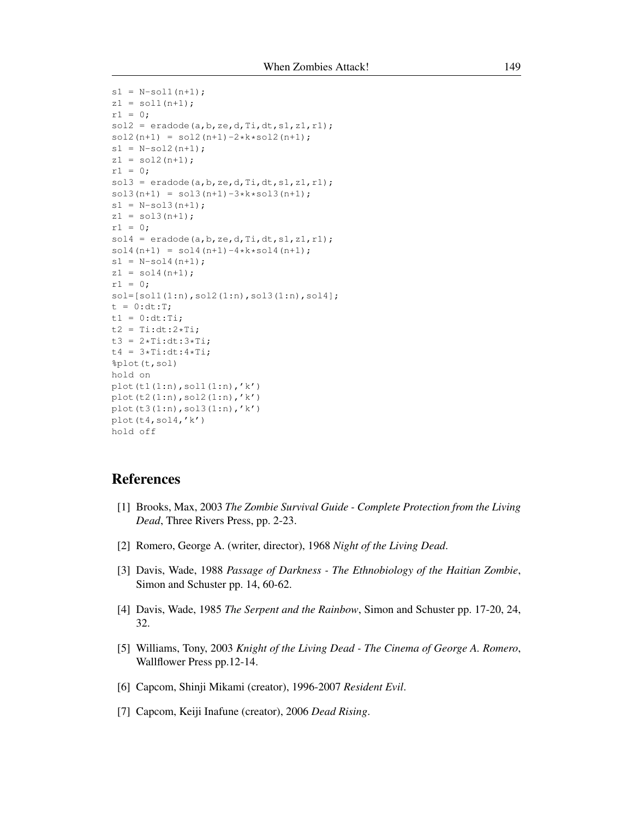```
s1 = N-sol1(n+1);z1 = sol1(n+1);r1 = 0;sol2 = eradode(a, b, ze, d, Ti, dt, sl, z1, r1);sol2(n+1) = sol2(n+1)-2*k*sol2(n+1);s1 = N-sol2(n+1);z1 = sol2(n+1);r1 = 0;sol3 = eradode(a,b,ze,d,Ti,dt,s1,z1,r1);
sol3(n+1) = sol3(n+1)-3*k*sol3(n+1);s1 = N-sol3(n+1);z1 = sol3(n+1);r1 = 0;sol4 = eradode(a,b,ze,d,Ti,dt,s1,z1,r1);sol4(n+1) = sol4(n+1)-4*k * sol4(n+1);s1 = N-sol4(n+1);z1 = sol4(n+1);r1 = 0;sol=[sol1(1:n),sol2(1:n),sol3(1:n),sol4];
t = 0:dt:T;t1 = 0:dt:Ti;t2 = Ti:dt:2*Ti;t3 = 2 \times Ti : dt : 3 \times Ti;t4 = 3 \star Ti: dt: 4 \star Ti;%plot(t,sol)
hold on
plot(t1(1:n),sol1(1:n),'k')
plot(t2(1:n),sol2(1:n),'k')
plot(t3(1:n),sol3(1:n),'k')
plot(t4,sol4,'k')
hold off
```
# References

- [1] Brooks, Max, 2003 *The Zombie Survival Guide Complete Protection from the Living Dead*, Three Rivers Press, pp. 2-23.
- [2] Romero, George A. (writer, director), 1968 *Night of the Living Dead*.
- [3] Davis, Wade, 1988 *Passage of Darkness The Ethnobiology of the Haitian Zombie*, Simon and Schuster pp. 14, 60-62.
- [4] Davis, Wade, 1985 *The Serpent and the Rainbow*, Simon and Schuster pp. 17-20, 24, 32.
- [5] Williams, Tony, 2003 *Knight of the Living Dead The Cinema of George A. Romero*, Wallflower Press pp.12-14.
- [6] Capcom, Shinji Mikami (creator), 1996-2007 *Resident Evil*.
- [7] Capcom, Keiji Inafune (creator), 2006 *Dead Rising*.